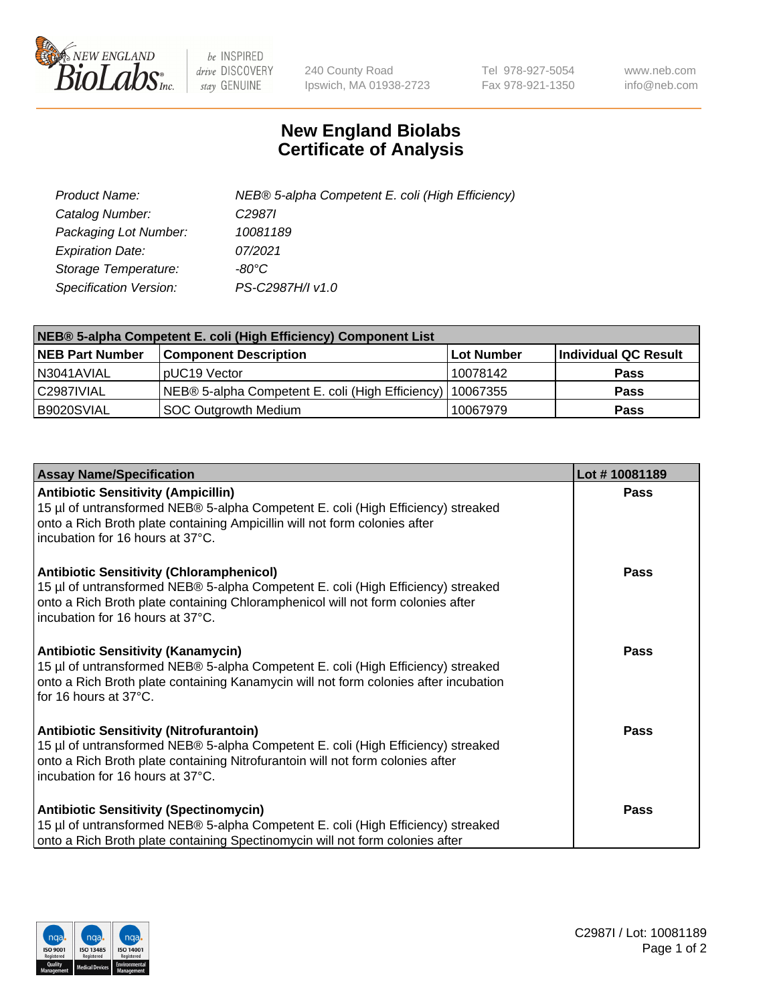

 $be$  INSPIRED drive DISCOVERY stay GENUINE

240 County Road Ipswich, MA 01938-2723 Tel 978-927-5054 Fax 978-921-1350 www.neb.com info@neb.com

## **New England Biolabs Certificate of Analysis**

| Product Name:           | NEB® 5-alpha Competent E. coli (High Efficiency) |
|-------------------------|--------------------------------------------------|
| Catalog Number:         | C <sub>2987</sub>                                |
| Packaging Lot Number:   | 10081189                                         |
| <b>Expiration Date:</b> | 07/2021                                          |
| Storage Temperature:    | -80°C                                            |
| Specification Version:  | PS-C2987H/I v1.0                                 |

| NEB® 5-alpha Competent E. coli (High Efficiency) Component List |                                                  |            |                      |  |
|-----------------------------------------------------------------|--------------------------------------------------|------------|----------------------|--|
| <b>NEB Part Number</b>                                          | <b>Component Description</b>                     | Lot Number | Individual QC Result |  |
| N3041AVIAL                                                      | pUC19 Vector                                     | 10078142   | <b>Pass</b>          |  |
| C2987IVIAL                                                      | NEB® 5-alpha Competent E. coli (High Efficiency) | 10067355   | <b>Pass</b>          |  |
| B9020SVIAL                                                      | SOC Outgrowth Medium                             | 10067979   | <b>Pass</b>          |  |

| <b>Assay Name/Specification</b>                                                                                                                                                                                                                            | Lot #10081189 |
|------------------------------------------------------------------------------------------------------------------------------------------------------------------------------------------------------------------------------------------------------------|---------------|
| <b>Antibiotic Sensitivity (Ampicillin)</b><br>15 µl of untransformed NEB® 5-alpha Competent E. coli (High Efficiency) streaked<br>onto a Rich Broth plate containing Ampicillin will not form colonies after<br>incubation for 16 hours at 37°C.           | Pass          |
| <b>Antibiotic Sensitivity (Chloramphenicol)</b><br>15 µl of untransformed NEB® 5-alpha Competent E. coli (High Efficiency) streaked<br>onto a Rich Broth plate containing Chloramphenicol will not form colonies after<br>incubation for 16 hours at 37°C. | Pass          |
| Antibiotic Sensitivity (Kanamycin)<br>15 µl of untransformed NEB® 5-alpha Competent E. coli (High Efficiency) streaked<br>onto a Rich Broth plate containing Kanamycin will not form colonies after incubation<br>for 16 hours at 37°C.                    | Pass          |
| <b>Antibiotic Sensitivity (Nitrofurantoin)</b><br>15 µl of untransformed NEB® 5-alpha Competent E. coli (High Efficiency) streaked<br>onto a Rich Broth plate containing Nitrofurantoin will not form colonies after<br>incubation for 16 hours at 37°C.   | <b>Pass</b>   |
| <b>Antibiotic Sensitivity (Spectinomycin)</b><br>15 µl of untransformed NEB® 5-alpha Competent E. coli (High Efficiency) streaked<br>onto a Rich Broth plate containing Spectinomycin will not form colonies after                                         | Pass          |